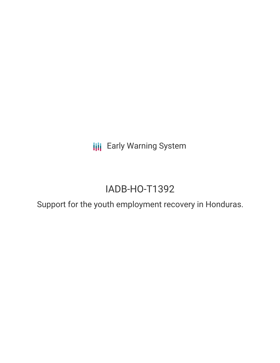**III** Early Warning System

# IADB-HO-T1392

Support for the youth employment recovery in Honduras.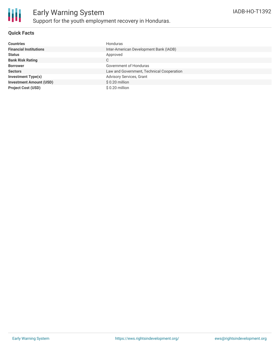

## **Quick Facts**

| <b>Countries</b>               | Honduras                                  |
|--------------------------------|-------------------------------------------|
| <b>Financial Institutions</b>  | Inter-American Development Bank (IADB)    |
| <b>Status</b>                  | Approved                                  |
| <b>Bank Risk Rating</b>        | C                                         |
| <b>Borrower</b>                | Government of Honduras                    |
| <b>Sectors</b>                 | Law and Government, Technical Cooperation |
| <b>Investment Type(s)</b>      | Advisory Services, Grant                  |
| <b>Investment Amount (USD)</b> | \$0.20 million                            |
| <b>Project Cost (USD)</b>      | $$0.20$ million                           |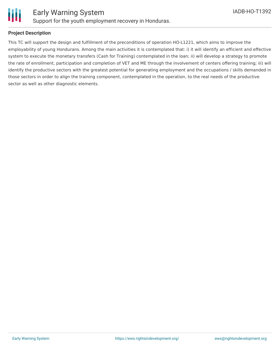

## **Project Description**

This TC will support the design and fulfillment of the preconditions of operation HO-L1221, which aims to improve the employability of young Hondurans. Among the main activities it is contemplated that: i) it will identify an efficient and effective system to execute the monetary transfers (Cash for Training) contemplated in the loan; ii) will develop a strategy to promote the rate of enrollment, participation and completion of VET and ME through the involvement of centers offering training; iii) will identify the productive sectors with the greatest potential for generating employment and the occupations / skills demanded in those sectors in order to align the training component, contemplated in the operation, to the real needs of the productive sector as well as other diagnostic elements.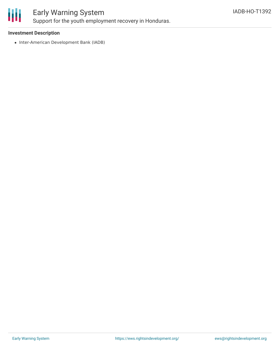

# Early Warning System

Support for the youth employment recovery in Honduras.

### **Investment Description**

• Inter-American Development Bank (IADB)